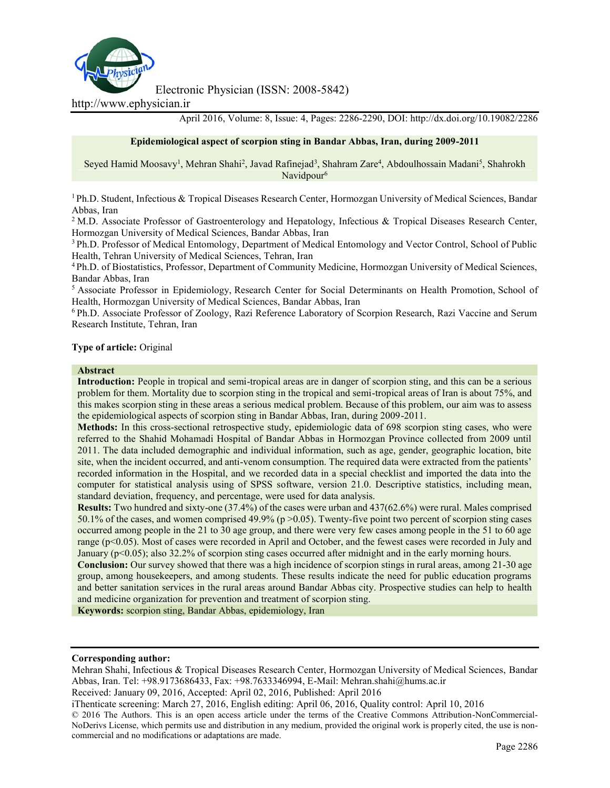

Electronic Physician (ISSN: 2008-5842)

http://www.ephysician.ir

April 2016, Volume: 8, Issue: 4, Pages: 2286-2290, DOI: http://dx.doi.org/10.19082/2286

### **Epidemiological aspect of scorpion sting in Bandar Abbas, Iran, during 2009-2011**

Seyed Hamid Moosavy<sup>1</sup>, Mehran Shahi<sup>2</sup>, Javad Rafinejad<sup>3</sup>, Shahram Zare<sup>4</sup>, Abdoulhossain Madani<sup>5</sup>, Shahrokh Navidpour<sup>6</sup>

<sup>1</sup> Ph.D. Student, Infectious & Tropical Diseases Research Center, Hormozgan University of Medical Sciences, Bandar Abbas, Iran

<sup>2</sup> M.D. Associate Professor of Gastroenterology and Hepatology, Infectious & Tropical Diseases Research Center, Hormozgan University of Medical Sciences, Bandar Abbas, Iran

<sup>3</sup> Ph.D. Professor of Medical Entomology, Department of Medical Entomology and Vector Control, School of Public Health, Tehran University of Medical Sciences, Tehran, Iran

<sup>4</sup> Ph.D. of Biostatistics, Professor, Department of Community Medicine, Hormozgan University of Medical Sciences, Bandar Abbas, Iran

<sup>5</sup> Associate Professor in Epidemiology, Research Center for Social Determinants on Health Promotion, School of Health, Hormozgan University of Medical Sciences, Bandar Abbas, Iran

<sup>6</sup> Ph.D. Associate Professor of Zoology, Razi Reference Laboratory of Scorpion Research, Razi Vaccine and Serum Research Institute, Tehran, Iran

### **Type of article:** Original

#### **Abstract**

**Introduction:** People in tropical and semi-tropical areas are in danger of scorpion sting, and this can be a serious problem for them. Mortality due to scorpion sting in the tropical and semi-tropical areas of Iran is about 75%, and this makes scorpion sting in these areas a serious medical problem. Because of this problem, our aim was to assess the epidemiological aspects of scorpion sting in Bandar Abbas, Iran, during 2009-2011.

**Methods:** In this cross-sectional retrospective study, epidemiologic data of 698 scorpion sting cases, who were referred to the Shahid Mohamadi Hospital of Bandar Abbas in Hormozgan Province collected from 2009 until 2011. The data included demographic and individual information, such as age, gender, geographic location, bite site, when the incident occurred, and anti-venom consumption. The required data were extracted from the patients' recorded information in the Hospital, and we recorded data in a special checklist and imported the data into the computer for statistical analysis using of SPSS software, version 21.0. Descriptive statistics, including mean, standard deviation, frequency, and percentage, were used for data analysis.

**Results:** Two hundred and sixty-one (37.4%) of the cases were urban and 437(62.6%) were rural. Males comprised 50.1% of the cases, and women comprised 49.9% (p >0.05). Twenty-five point two percent of scorpion sting cases occurred among people in the 21 to 30 age group, and there were very few cases among people in the 51 to 60 age range (p<0.05). Most of cases were recorded in April and October, and the fewest cases were recorded in July and January (p<0.05); also 32.2% of scorpion sting cases occurred after midnight and in the early morning hours.

**Conclusion:** Our survey showed that there was a high incidence of scorpion stings in rural areas, among 21-30 age group, among housekeepers, and among students. These results indicate the need for public education programs and better sanitation services in the rural areas around Bandar Abbas city. Prospective studies can help to health and medicine organization for prevention and treatment of scorpion sting.

**Keywords:** scorpion sting, Bandar Abbas, epidemiology, Iran

#### **Corresponding author:**

Mehran Shahi, Infectious & Tropical Diseases Research Center, Hormozgan University of Medical Sciences, Bandar Abbas, Iran. Tel: +98.9173686433, Fax: +98.7633346994, E-Mail: Mehran.shahi@hums.ac.ir

Received: January 09, 2016, Accepted: April 02, 2016, Published: April 2016

iThenticate screening: March 27, 2016, English editing: April 06, 2016, Quality control: April 10, 2016

© 2016 The Authors. This is an open access article under the terms of the Creative Commons Attribution-NonCommercial- NoDerivs License, which permits use and distribution in any medium, provided the original work is properly cited, the use is non commercial and no modifications or adaptations are made.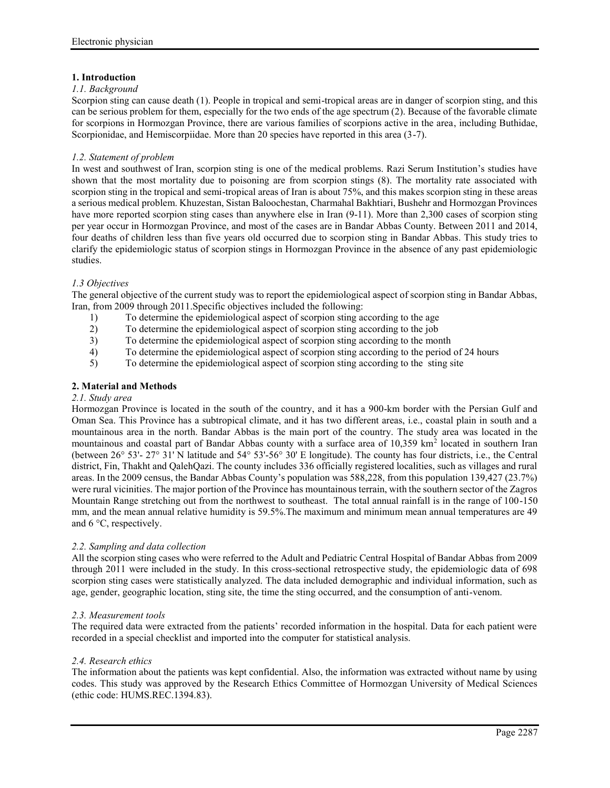# **1. Introduction**

### *1.1. Background*

Scorpion sting can cause death (1). People in tropical and semi-tropical areas are in danger of scorpion sting, and this can be serious problem for them, especially for the two ends of the age spectrum (2). Because of the favorable climate for scorpions in Hormozgan Province, there are various families of scorpions active in the area, including Buthidae, Scorpionidae, and Hemiscorpiidae. More than 20 species have reported in this area (3-7).

### *1.2. Statement of problem*

In west and southwest of Iran, scorpion sting is one of the medical problems. Razi Serum Institution's studies have shown that the most mortality due to poisoning are from scorpion stings (8). The mortality rate associated with scorpion sting in the tropical and semi-tropical areas of Iran is about 75%, and this makes scorpion sting in these areas a serious medical problem. Khuzestan, Sistan Baloochestan, Charmahal Bakhtiari, Bushehr and Hormozgan Provinces have more reported scorpion sting cases than anywhere else in Iran (9-11). More than 2,300 cases of scorpion sting per year occur in Hormozgan Province, and most of the cases are in Bandar Abbas County. Between 2011 and 2014, four deaths of children less than five years old occurred due to scorpion sting in Bandar Abbas. This study tries to clarify the epidemiologic status of scorpion stings in Hormozgan Province in the absence of any past epidemiologic studies.

### *1.3 Objectives*

The general objective of the current study was to report the epidemiological aspect of scorpion sting in Bandar Abbas, Iran, from 2009 through 2011.Specific objectives included the following:

- 1) To determine the epidemiological aspect of scorpion sting according to the age
- 2) To determine the epidemiological aspect of scorpion sting according to the job
- 3) To determine the epidemiological aspect of scorpion sting according to the month
- 4) To determine the epidemiological aspect of scorpion sting according to the period of 24 hours
- 5) To determine the epidemiological aspect of scorpion sting according to the sting site

# **2. Material and Methods**

### *2.1. Study area*

Hormozgan Province is located in the south of the country, and it has a 900-km border with the Persian Gulf and Oman Sea. This Province has a subtropical climate, and it has two different areas, i.e., coastal plain in south and a mountainous area in the north. Bandar Abbas is the main port of the country. The study area was located in the mountainous and coastal part of Bandar Abbas county with a surface area of 10,359 km<sup>2</sup> located in southern Iran (between 26° 53'- 27° 31' N latitude and 54° 53'-56° 30' E longitude). The county has four districts, i.e., the Central district, Fin, Thakht and QalehQazi. The county includes 336 officially registered localities, such as villages and rural areas. In the 2009 census, the Bandar Abbas County's population was 588,228, from this population 139,427 (23.7%) were rural vicinities. The major portion of the Province has mountainous terrain, with the southern sector of the Zagros Mountain Range stretching out from the northwest to southeast. The total annual rainfall is in the range of 100-150 mm, and the mean annual relative humidity is 59.5%.The maximum and minimum mean annual temperatures are 49 and 6 °C, respectively.

### *2.2. Sampling and data collection*

All the scorpion sting cases who were referred to the Adult and Pediatric Central Hospital of Bandar Abbas from 2009 through 2011 were included in the study. In this cross-sectional retrospective study, the epidemiologic data of 698 scorpion sting cases were statistically analyzed. The data included demographic and individual information, such as age, gender, geographic location, sting site, the time the sting occurred, and the consumption of anti-venom.

### *2.3. Measurement tools*

The required data were extracted from the patients' recorded information in the hospital. Data for each patient were recorded in a special checklist and imported into the computer for statistical analysis.

### *2.4. Research ethics*

The information about the patients was kept confidential. Also, the information was extracted without name by using codes. This study was approved by the Research Ethics Committee of Hormozgan University of Medical Sciences (ethic code: HUMS.REC.1394.83).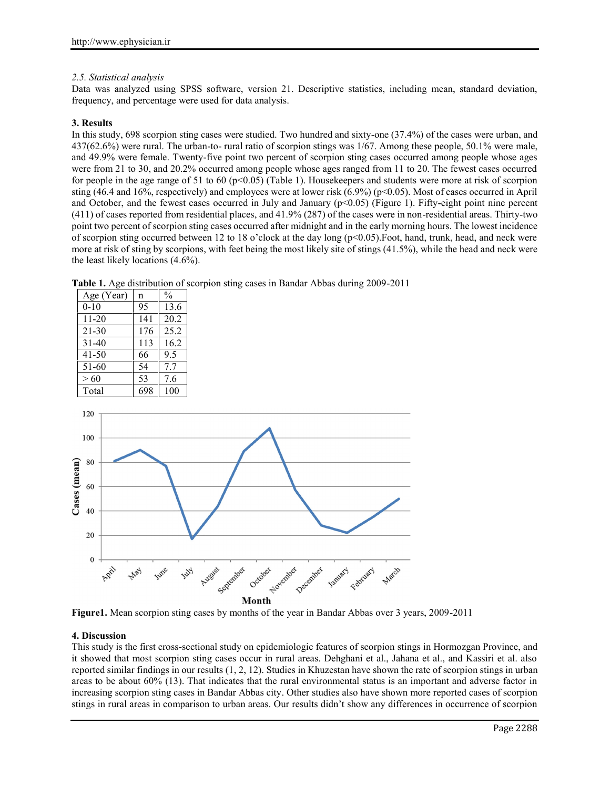# *2.5. Statistical analysis*

Data was analyzed using SPSS software, version 21. Descriptive statistics, including mean, standard deviation, frequency, and percentage were used for data analysis.

# **3. Results**

In this study, 698 scorpion sting cases were studied. Two hundred and sixty-one (37.4%) of the cases were urban, and 437(62.6%) were rural. The urban-to- rural ratio of scorpion stings was 1/67. Among these people, 50.1% were male, and 49.9% were female. Twenty-five point two percent of scorpion sting cases occurred among people whose ages were from 21 to 30, and 20.2% occurred among people whose ages ranged from 11 to 20. The fewest cases occurred for people in the age range of 51 to 60 (p<0.05) (Table 1). Housekeepers and students were more at risk of scorpion sting (46.4 and 16%, respectively) and employees were at lower risk (6.9%) (p<0.05). Most of cases occurred in April and October, and the fewest cases occurred in July and January  $(p<0.05)$  (Figure 1). Fifty-eight point nine percent (411) of cases reported from residential places, and 41.9% (287) of the cases were in non-residential areas. Thirty-two point two percent of scorpion sting cases occurred after midnight and in the early morning hours. The lowest incidence of scorpion sting occurred between 12 to 18 o'clock at the day long (p<0.05).Foot, hand, trunk, head, and neck were more at risk of sting by scorpions, with feet being the most likely site of stings (41.5%), while the head and neck were the least likely locations (4.6%).

| Age (Year) | n   | $\frac{0}{0}$ |  |
|------------|-----|---------------|--|
| $0 - 10$   | 95  | 13.6          |  |
| $11 - 20$  | 141 | 20.2          |  |
| $21 - 30$  | 176 | 25.2          |  |
| $31-40$    | 113 | 16.2          |  |
| $41-50$    | 66  | 9.5           |  |
| 51-60      | 54  | 7.7           |  |
| > 60       | 53  | 7.6           |  |
| Total      | 698 | 100           |  |

**Table 1.** Age distribution of scorpion sting cases in Bandar Abbas during 2009-2011



**Figure1.** Mean scorpion sting cases by months of the year in Bandar Abbas over 3 years, 2009-2011

# **4. Discussion**

This study is the first cross-sectional study on epidemiologic features of scorpion stings in Hormozgan Province, and it showed that most scorpion sting cases occur in rural areas. Dehghani et al., Jahana et al., and Kassiri et al. also reported similar findings in our results (1, 2, 12). Studies in Khuzestan have shown the rate of scorpion stings in urban areas to be about 60% (13). That indicates that the rural environmental status is an important and adverse factor in increasing scorpion sting cases in Bandar Abbas city. Other studies also have shown more reported cases of scorpion stings in rural areas in comparison to urban areas. Our results didn't show any differences in occurrence of scorpion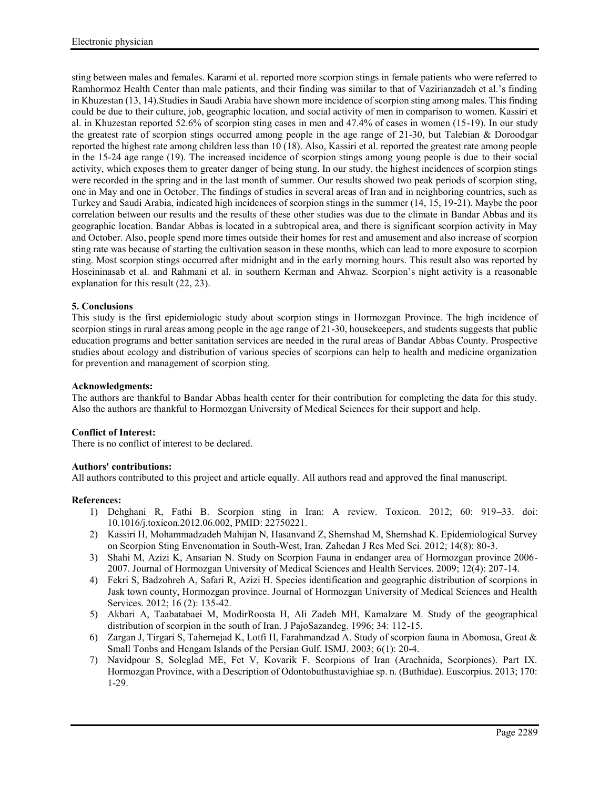sting between males and females. Karami et al. reported more scorpion stings in female patients who were referred to Ramhormoz Health Center than male patients, and their finding was similar to that of Vazirianzadeh et al.'s finding in Khuzestan (13, 14).Studies in Saudi Arabia have shown more incidence of scorpion sting among males. This finding could be due to their culture, job, geographic location, and social activity of men in comparison to women. Kassiri et al. in Khuzestan reported 52.6% of scorpion sting cases in men and 47.4% of cases in women (15-19). In our study the greatest rate of scorpion stings occurred among people in the age range of 21-30, but Talebian & Doroodgar reported the highest rate among children less than 10 (18). Also, Kassiri et al. reported the greatest rate among people in the 15-24 age range (19). The increased incidence of scorpion stings among young people is due to their social activity, which exposes them to greater danger of being stung. In our study, the highest incidences of scorpion stings were recorded in the spring and in the last month of summer. Our results showed two peak periods of scorpion sting, one in May and one in October. The findings of studies in several areas of Iran and in neighboring countries, such as Turkey and Saudi Arabia, indicated high incidences of scorpion stings in the summer (14, 15, 19-21). Maybe the poor correlation between our results and the results of these other studies was due to the climate in Bandar Abbas and its geographic location. Bandar Abbas is located in a subtropical area, and there is significant scorpion activity in May and October. Also, people spend more times outside their homes for rest and amusement and also increase of scorpion sting rate was because of starting the cultivation season in these months, which can lead to more exposure to scorpion sting. Most scorpion stings occurred after midnight and in the early morning hours. This result also was reported by Hoseininasab et al. and Rahmani et al. in southern Kerman and Ahwaz. Scorpion's night activity is a reasonable explanation for this result (22, 23).

# **5. Conclusions**

This study is the first epidemiologic study about scorpion stings in Hormozgan Province. The high incidence of scorpion stings in rural areas among people in the age range of 21-30, housekeepers, and students suggests that public education programs and better sanitation services are needed in the rural areas of Bandar Abbas County. Prospective studies about ecology and distribution of various species of scorpions can help to health and medicine organization for prevention and management of scorpion sting.

# **Acknowledgments:**

The authors are thankful to Bandar Abbas health center for their contribution for completing the data for this study. Also the authors are thankful to Hormozgan University of Medical Sciences for their support and help.

# **Conflict of Interest:**

There is no conflict of interest to be declared.

# **Authors' contributions:**

All authors contributed to this project and article equally. All authors read and approved the final manuscript.

### **References:**

- 1) Dehghani R, Fathi B. Scorpion sting in Iran: A review. Toxicon. 2012; 60: 919–33. doi: 10.1016/j.toxicon.2012.06.002, PMID: 22750221.
- 2) Kassiri H, Mohammadzadeh Mahijan N, Hasanvand Z, Shemshad M, Shemshad K. Epidemiological Survey on Scorpion Sting Envenomation in South-West, Iran. Zahedan J Res Med Sci. 2012; 14(8): 80-3.
- 3) Shahi M, Azizi K, Ansarian N. Study on Scorpion Fauna in endanger area of Hormozgan province 2006- 2007. Journal of Hormozgan University of Medical Sciences and Health Services. 2009; 12(4): 207-14.
- 4) Fekri S, Badzohreh A, Safari R, Azizi H. Species identification and geographic distribution of scorpions in Jask town county, Hormozgan province. Journal of Hormozgan University of Medical Sciences and Health Services. 2012; 16 (2): 135-42.
- 5) Akbari A, Taabatabaei M, ModirRoosta H, Ali Zadeh MH, Kamalzare M. Study of the geographical distribution of scorpion in the south of Iran. J PajoSazandeg. 1996; 34: 112-15.
- 6) Zargan J, Tirgari S, Tahernejad K, Lotfi H, Farahmandzad A. Study of scorpion fauna in Abomosa, Great & Small Tonbs and Hengam Islands of the Persian Gulf. ISMJ. 2003; 6(1): 20-4.
- 7) Navidpour S, Soleglad ME, Fet V, Kovarik F. Scorpions of Iran (Arachnida, Scorpiones). Part IX. Hormozgan Province, with a Description of Odontobuthustavighiae sp. n. (Buthidae). Euscorpius. 2013; 170: 1-29.